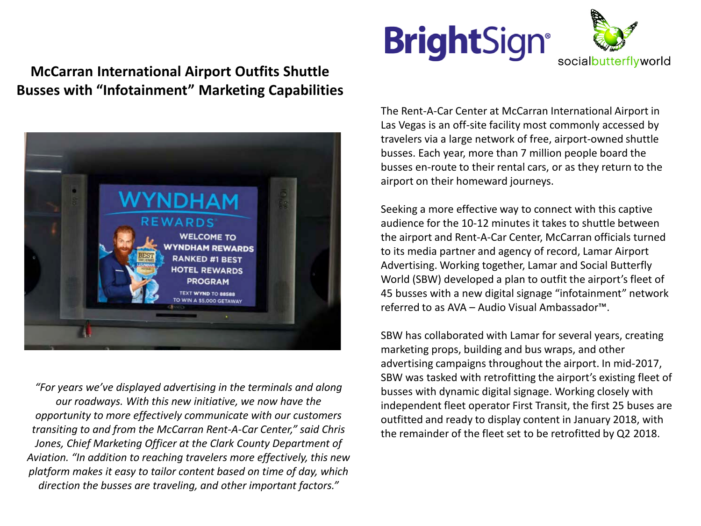## **McCarran International Airport Outfits Shuttle Busses with "Infotainment" Marketing Capabilities**



*"For years we've displayed advertising in the terminals and along our roadways. With this new initiative, we now have the opportunity to more effectively communicate with our customers transiting to and from the McCarran Rent-A-Car Center," said Chris Jones, Chief Marketing Officer at the Clark County Department of Aviation. "In addition to reaching travelers more effectively, this new platform makes it easy to tailor content based on time of day, which direction the busses are traveling, and other important factors."*





The Rent-A-Car Center at McCarran International Airport in Las Vegas is an off-site facility most commonly accessed by travelers via a large network of free, airport-owned shuttle busses. Each year, more than 7 million people board the busses en-route to their rental cars, or as they return to the airport on their homeward journeys.

Seeking a more effective way to connect with this captive audience for the 10-12 minutes it takes to shuttle between the airport and Rent-A-Car Center, McCarran officials turned to its media partner and agency of record, Lamar Airport Advertising. Working together, Lamar and Social Butterfly World (SBW) developed a plan to outfit the airport's fleet of 45 busses with a new digital signage "infotainment" network referred to as AVA – Audio Visual Ambassador™.

SBW has collaborated with Lamar for several years, creating marketing props, building and bus wraps, and other advertising campaigns throughout the airport. In mid-2017, SBW was tasked with retrofitting the airport's existing fleet of busses with dynamic digital signage. Working closely with independent fleet operator First Transit, the first 25 buses are outfitted and ready to display content in January 2018, with the remainder of the fleet set to be retrofitted by Q2 2018.